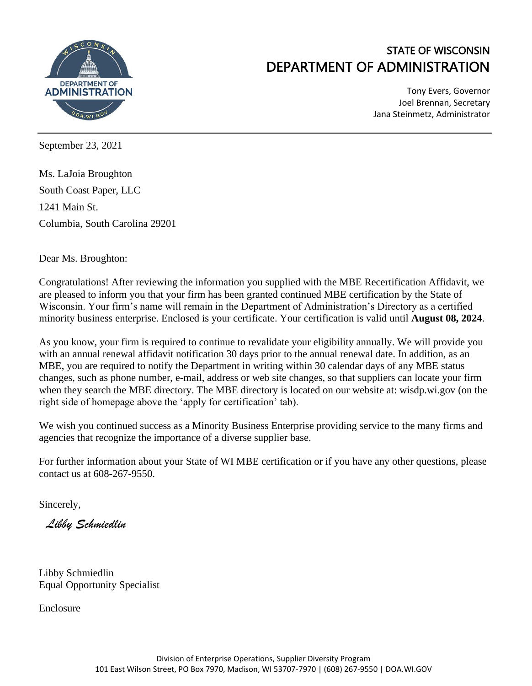

# STATE OF WISCONSIN DEPARTMENT OF ADMINISTRATION

Tony Evers, Governor Joel Brennan, Secretary Jana Steinmetz, Administrator

September 23, 2021

Ms. LaJoia Broughton South Coast Paper, LLC 1241 Main St. Columbia, South Carolina 29201

Dear Ms. Broughton:

Congratulations! After reviewing the information you supplied with the MBE Recertification Affidavit, we are pleased to inform you that your firm has been granted continued MBE certification by the State of Wisconsin. Your firm's name will remain in the Department of Administration's Directory as a certified minority business enterprise. Enclosed is your certificate. Your certification is valid until **August 08, 2024**.

As you know, your firm is required to continue to revalidate your eligibility annually. We will provide you with an annual renewal affidavit notification 30 days prior to the annual renewal date. In addition, as an MBE, you are required to notify the Department in writing within 30 calendar days of any MBE status changes, such as phone number, e-mail, address or web site changes, so that suppliers can locate your firm when they search the MBE directory. The MBE directory is located on our website at: wisdp.wi.gov (on the right side of homepage above the 'apply for certification' tab).

We wish you continued success as a Minority Business Enterprise providing service to the many firms and agencies that recognize the importance of a diverse supplier base.

For further information about your State of WI MBE certification or if you have any other questions, please contact us at 608-267-9550.

Sincerely,

*Libby Schmiedlin*

Libby Schmiedlin Equal Opportunity Specialist

Enclosure